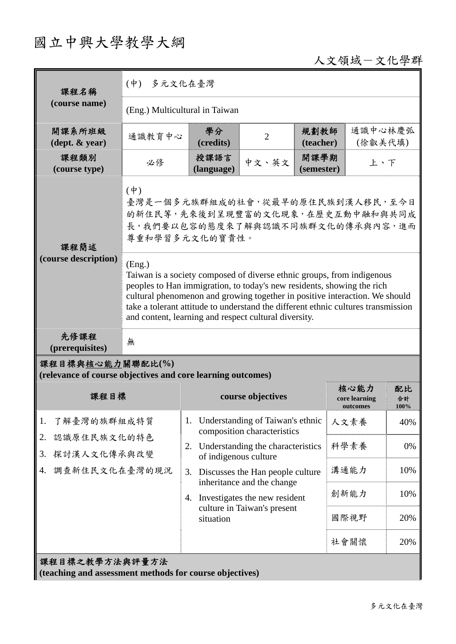# 國立中興大學教學大綱

### 人文領域-文化學群

| 課程名稱                                                                            | (中) 多元文化在臺灣                                                                                                                                                                                                                                                                                                                                                                             |                                                                  |                                                                 |                    |                                   |                  |  |
|---------------------------------------------------------------------------------|-----------------------------------------------------------------------------------------------------------------------------------------------------------------------------------------------------------------------------------------------------------------------------------------------------------------------------------------------------------------------------------------|------------------------------------------------------------------|-----------------------------------------------------------------|--------------------|-----------------------------------|------------------|--|
| (course name)                                                                   | (Eng.) Multicultural in Taiwan                                                                                                                                                                                                                                                                                                                                                          |                                                                  |                                                                 |                    |                                   |                  |  |
| 開課系所班級<br>$(\text{dept.} \& \text{ year})$                                      | 通識教育中心                                                                                                                                                                                                                                                                                                                                                                                  | 學分<br>(credits)                                                  | $\overline{2}$                                                  | 規劃教師<br>(teacher)  | 通識中心林慶弧<br>(徐叡美代填)                |                  |  |
| 課程類別<br>(course type)                                                           | 必修                                                                                                                                                                                                                                                                                                                                                                                      | 授課語言<br>(language)                                               | 中文、英文                                                           | 開課學期<br>(semester) | 上、下                               |                  |  |
| 課程簡述<br>(course description)                                                    | $(\dot{\Psi})$<br>臺灣是一個多元族群組成的社會,從最早的原住民族到漢人移民,至今日<br>的新住民等,先來後到呈現豐富的文化現象,在歷史互動中融和與共同成<br>長,我們要以包容的態度來了解與認識不同族群文化的傳承與內容,進而<br>尊重和學習多元文化的寶貴性。                                                                                                                                                                                                                                            |                                                                  |                                                                 |                    |                                   |                  |  |
|                                                                                 | (Eng.)<br>Taiwan is a society composed of diverse ethnic groups, from indigenous<br>peoples to Han immigration, to today's new residents, showing the rich<br>cultural phenomenon and growing together in positive interaction. We should<br>take a tolerant attitude to understand the different ethnic cultures transmission<br>and content, learning and respect cultural diversity. |                                                                  |                                                                 |                    |                                   |                  |  |
| 先修課程<br>(prerequisites)                                                         | 無                                                                                                                                                                                                                                                                                                                                                                                       |                                                                  |                                                                 |                    |                                   |                  |  |
| 課程目標與核心能力關聯配比(%)<br>(relevance of course objectives and core learning outcomes) |                                                                                                                                                                                                                                                                                                                                                                                         |                                                                  |                                                                 |                    |                                   |                  |  |
| 課程目標                                                                            |                                                                                                                                                                                                                                                                                                                                                                                         | course objectives                                                |                                                                 |                    | 核心能力<br>core learning<br>outcomes | 配比<br>合計<br>100% |  |
| 1.<br>了解臺灣的族群組成特質<br>認識原住民族文化的特色<br>2.<br>探討漢人文化傳承與改變<br>3.                     |                                                                                                                                                                                                                                                                                                                                                                                         | 1.                                                               | Understanding of Taiwan's ethnic<br>composition characteristics |                    | 人文素養                              | 40%              |  |
|                                                                                 |                                                                                                                                                                                                                                                                                                                                                                                         | Understanding the characteristics<br>2.<br>of indigenous culture |                                                                 |                    | 科學素養                              | 0%               |  |
| 調查新住民文化在臺灣的現況<br>4.                                                             |                                                                                                                                                                                                                                                                                                                                                                                         | 3.                                                               | Discusses the Han people culture                                |                    | 溝通能力                              | 10%              |  |
|                                                                                 |                                                                                                                                                                                                                                                                                                                                                                                         | 4.                                                               | inheritance and the change<br>Investigates the new resident     |                    | 創新能力                              | 10%              |  |
|                                                                                 |                                                                                                                                                                                                                                                                                                                                                                                         | situation                                                        | culture in Taiwan's present                                     |                    | 國際視野                              | 20%              |  |
|                                                                                 |                                                                                                                                                                                                                                                                                                                                                                                         |                                                                  |                                                                 |                    | 社會關懷                              | 20%              |  |
| 課程目標之教學方法與評量方法<br>(teaching and assessment methods for course objectives)       |                                                                                                                                                                                                                                                                                                                                                                                         |                                                                  |                                                                 |                    |                                   |                  |  |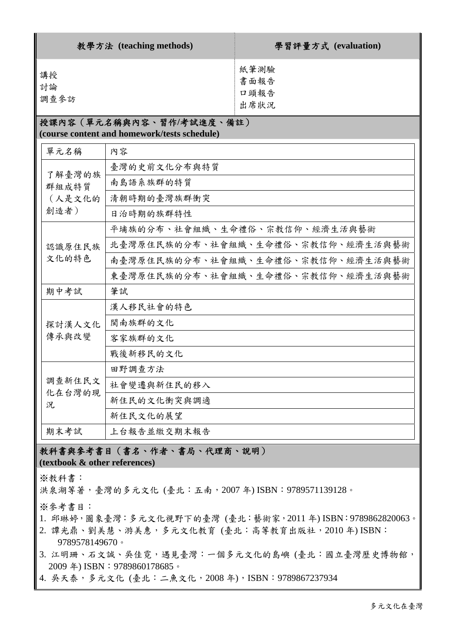| 教學方法 (teaching methods)                                                  |                                   | 學習評量方式 (evaluation)          |  |  |  |  |
|--------------------------------------------------------------------------|-----------------------------------|------------------------------|--|--|--|--|
| 講授<br>討論<br>調查參訪                                                         |                                   | 紙筆測驗<br>書面報告<br>口頭報告<br>出席狀況 |  |  |  |  |
| 授課內容(單元名稱與內容、習作/考試進度、備註)<br>(course content and homework/tests schedule) |                                   |                              |  |  |  |  |
| 單元名稱                                                                     | 內容                                |                              |  |  |  |  |
| 了解臺灣的族<br>群組成特質<br>(人是文化的<br>創造者)                                        | 臺灣的史前文化分布與特質                      |                              |  |  |  |  |
|                                                                          | 南島語系族群的特質                         |                              |  |  |  |  |
|                                                                          | 清朝時期的臺灣族群衝突                       |                              |  |  |  |  |
|                                                                          | 日治時期的族群特性                         |                              |  |  |  |  |
| 認識原住民族<br>文化的特色                                                          | 平埔族的分布、社會組織、生命禮俗、宗教信仰、經濟生活與藝術     |                              |  |  |  |  |
|                                                                          | 北臺灣原住民族的分布、社會組織、生命禮俗、宗教信仰、經濟生活與藝術 |                              |  |  |  |  |
|                                                                          | 南臺灣原住民族的分布、社會組織、生命禮俗、宗教信仰、經濟生活與藝術 |                              |  |  |  |  |
|                                                                          | 東臺灣原住民族的分布、社會組織、生命禮俗、宗教信仰、經濟生活與藝術 |                              |  |  |  |  |
| 期中考試                                                                     | 筆試                                |                              |  |  |  |  |
| 探討漢人文化<br>傳承與改變                                                          | 漢人移民社會的特色                         |                              |  |  |  |  |
|                                                                          | 閩南族群的文化                           |                              |  |  |  |  |
|                                                                          | 客家族群的文化                           |                              |  |  |  |  |
|                                                                          | 戰後新移民的文化                          |                              |  |  |  |  |
| 調查新住民文<br>化在台灣的現<br>況                                                    | 田野調查方法                            |                              |  |  |  |  |
|                                                                          | 社會變遷與新住民的移入                       |                              |  |  |  |  |
|                                                                          | 新住民的文化衝突與調適                       |                              |  |  |  |  |
|                                                                          | 新住民文化的展望                          |                              |  |  |  |  |
| 期末考試                                                                     | 上台報告並繳交期末報告                       |                              |  |  |  |  |

#### 教科書與參考書目(書名、作者、書局、代理商、說明) **(textbook & other references)**

※教科書:

洪泉湖等著,臺灣的多元文化 (臺北:五南,2007 年) ISBN:9789571139128。

※參考書目:

- 1. 邱琳婷,圖象臺灣:多元文化視野下的臺灣 (臺北:藝術家,2011 年) ISBN:9789862820063。
- 2. 譚光鼎、劉美慧、游美惠,多元文化教育 (臺北:高等教育出版社,2010年) ISBN: 9789578149670。
- 3. 江明珊、石文誠、吳佳霓,遇見臺灣:一個多元文化的島嶼 (臺北:國立臺灣歷史博物館, 2009年) ISBN: 9789860178685。
- 4. 吳天泰,多元文化 (臺北:二魚文化,2008年), ISBN: 9789867237934